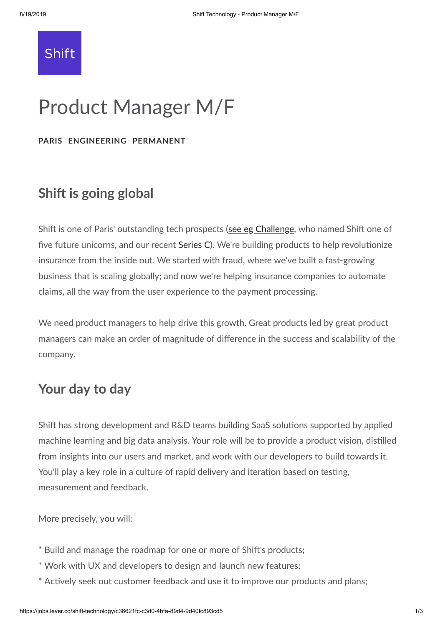

# Product Manager M/F

**PARIS ENGINEERING PERMANENT**

### **Shift is going global**

Shift is one of Paris' outstanding tech prospects (see eg [Challenge](https://www.challenges.fr/entreprise/shift-technology-le-succes-de-la-start-up-qui-detecte-les-fraudes-a-l-assurance_573641), who named Shift one of five future unicorns, and our recent [Series](https://www.shift-technology.com/shift-technology-lands-60-million-c-round/) C). We're building products to help revolutionize insurance from the inside out. We started with fraud, where we've built a fast-growing business that is scaling globally; and now we're helping insurance companies to automate claims, all the way from the user experience to the payment processing.

We need product managers to help drive this growth. Great products led by great product managers can make an order of magnitude of difference in the success and scalability of the company.

## **Your day to day**

Shift has strong development and R&D teams building SaaS solutions supported by applied machine learning and big data analysis. Your role will be to provide a product vision, distilled from insights into our users and market, and work with our developers to build towards it. You'll play a key role in a culture of rapid delivery and iteration based on testing, measurement and feedback.

More precisely, you will:

- \* Build and manage the roadmap for one or more of Shift's products;
- \* Work with UX and developers to design and launch new features;
- \* Actively seek out customer feedback and use it to improve our products and plans;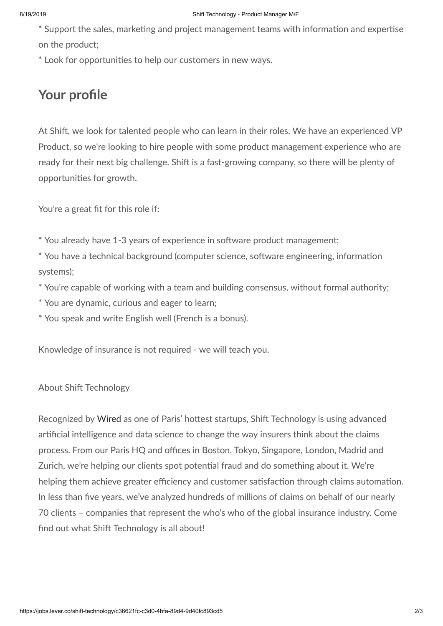\* Support the sales, marketing and project management teams with information and expertise on the product;

\* Look for opportunities to help our customers in new ways.

## **Your profile**

At Shift, we look for talented people who can learn in their roles. We have an experienced VP Product, so we're looking to hire people with some product management experience who are ready for their next big challenge. Shift is a fast-growing company, so there will be plenty of opportunities for growth.

You're a great fit for this role if:

\* You already have 1-3 years of experience in software product management;

\* You have a technical background (computer science, software engineering, information systems);

- \* You're capable of working with a team and building consensus, without formal authority;
- \* You are dynamic, curious and eager to learn;

\* You speak and write English well (French is a bonus).

Knowledge of insurance is not required - we will teach you.

#### About Shift Technology

Recognized by [Wired](https://www.wired.co.uk/article/best-startups-in-paris-2018) as one of Paris' hottest startups, Shift Technology is using advanced arficial intelligence and data science to change the way insurers think about the claims process. From our Paris HQ and offices in Boston, Tokyo, Singapore, London, Madrid and Zurich, we're helping our clients spot potential fraud and do something about it. We're helping them achieve greater efficiency and customer satisfaction through claims automation. In less than five years, we've analyzed hundreds of millions of claims on behalf of our nearly 70 clients – companies that represent the who's who of the global insurance industry. Come find out what Shift Technology is all about!